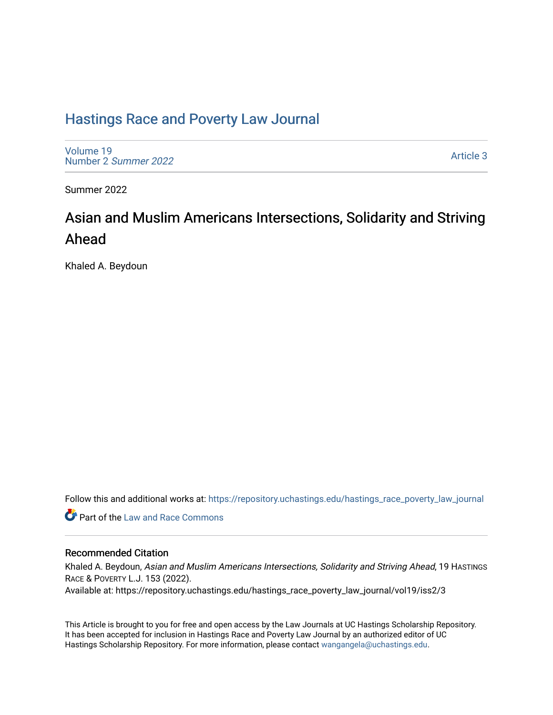## [Hastings Race and Poverty Law Journal](https://repository.uchastings.edu/hastings_race_poverty_law_journal)

[Volume 19](https://repository.uchastings.edu/hastings_race_poverty_law_journal/vol19) [Number 2](https://repository.uchastings.edu/hastings_race_poverty_law_journal/vol19/iss2) Summer 2022

[Article 3](https://repository.uchastings.edu/hastings_race_poverty_law_journal/vol19/iss2/3) 

Summer 2022

# Asian and Muslim Americans Intersections, Solidarity and Striving Ahead

Khaled A. Beydoun

Follow this and additional works at: [https://repository.uchastings.edu/hastings\\_race\\_poverty\\_law\\_journal](https://repository.uchastings.edu/hastings_race_poverty_law_journal?utm_source=repository.uchastings.edu%2Fhastings_race_poverty_law_journal%2Fvol19%2Fiss2%2F3&utm_medium=PDF&utm_campaign=PDFCoverPages) 

**C** Part of the Law and Race Commons

## Recommended Citation

Khaled A. Beydoun, Asian and Muslim Americans Intersections, Solidarity and Striving Ahead, 19 HASTINGS RACE & POVERTY L.J. 153 (2022). Available at: https://repository.uchastings.edu/hastings\_race\_poverty\_law\_journal/vol19/iss2/3

This Article is brought to you for free and open access by the Law Journals at UC Hastings Scholarship Repository. It has been accepted for inclusion in Hastings Race and Poverty Law Journal by an authorized editor of UC Hastings Scholarship Repository. For more information, please contact [wangangela@uchastings.edu.](mailto:wangangela@uchastings.edu)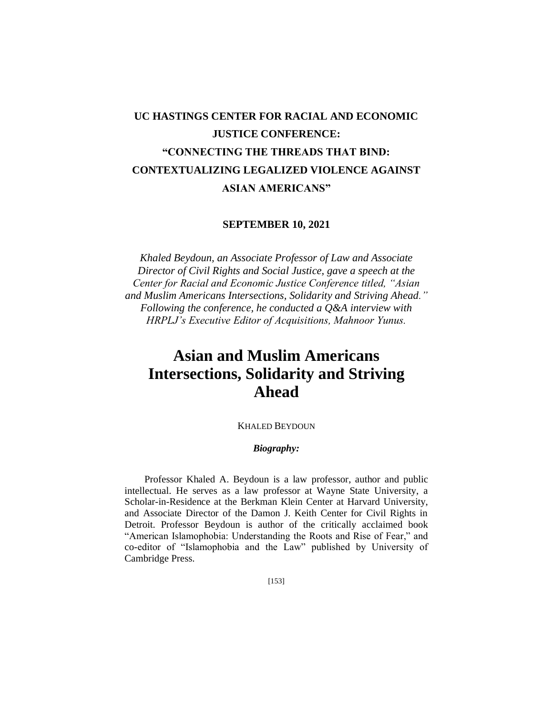# **UC HASTINGS CENTER FOR RACIAL AND ECONOMIC JUSTICE CONFERENCE: "CONNECTING THE THREADS THAT BIND: CONTEXTUALIZING LEGALIZED VIOLENCE AGAINST ASIAN AMERICANS"**

### **SEPTEMBER 10, 2021**

*Khaled Beydoun, an Associate Professor of Law and Associate Director of Civil Rights and Social Justice, gave a speech at the Center for Racial and Economic Justice Conference titled, "Asian and Muslim Americans Intersections, Solidarity and Striving Ahead." Following the conference, he conducted a Q&A interview with HRPLJ's Executive Editor of Acquisitions, Mahnoor Yunus.*

# **Asian and Muslim Americans Intersections, Solidarity and Striving Ahead**

#### KHALED BEYDOUN

### *Biography:*

Professor Khaled A. Beydoun is a law professor, author and public intellectual. He serves as a law professor at Wayne State University, a Scholar-in-Residence at the Berkman Klein Center at Harvard University, and Associate Director of the Damon J. Keith Center for Civil Rights in Detroit. Professor Beydoun is author of the critically acclaimed book "American Islamophobia: Understanding the Roots and Rise of Fear," and co-editor of "Islamophobia and the Law" published by University of Cambridge Press.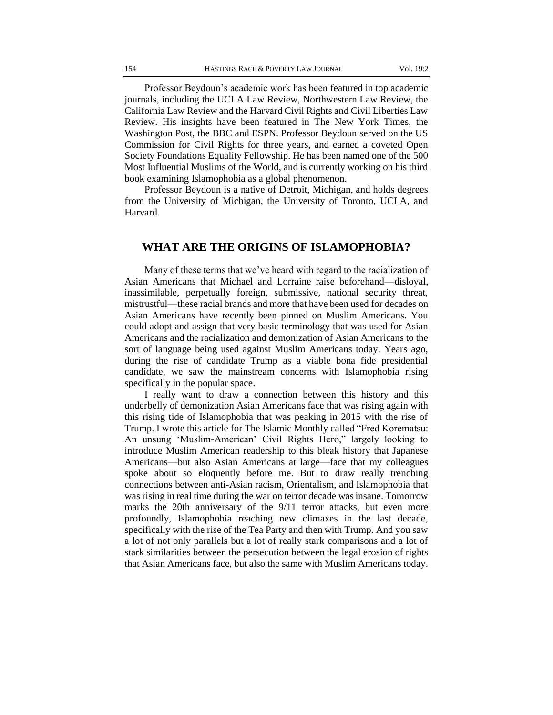Professor Beydoun's academic work has been featured in top academic journals, including the UCLA Law Review, Northwestern Law Review, the California Law Review and the Harvard Civil Rights and Civil Liberties Law Review. His insights have been featured in The New York Times, the Washington Post, the BBC and ESPN. Professor Beydoun served on the US Commission for Civil Rights for three years, and earned a coveted Open Society Foundations Equality Fellowship. He has been named one of the 500 Most Influential Muslims of the World, and is currently working on his third book examining Islamophobia as a global phenomenon.

Professor Beydoun is a native of Detroit, Michigan, and holds degrees from the University of Michigan, the University of Toronto, UCLA, and Harvard.

### **WHAT ARE THE ORIGINS OF ISLAMOPHOBIA?**

Many of these terms that we've heard with regard to the racialization of Asian Americans that Michael and Lorraine raise beforehand—disloyal, inassimilable, perpetually foreign, submissive, national security threat, mistrustful—these racial brands and more that have been used for decades on Asian Americans have recently been pinned on Muslim Americans. You could adopt and assign that very basic terminology that was used for Asian Americans and the racialization and demonization of Asian Americans to the sort of language being used against Muslim Americans today. Years ago, during the rise of candidate Trump as a viable bona fide presidential candidate, we saw the mainstream concerns with Islamophobia rising specifically in the popular space.

I really want to draw a connection between this history and this underbelly of demonization Asian Americans face that was rising again with this rising tide of Islamophobia that was peaking in 2015 with the rise of Trump. I wrote this article for The Islamic Monthly called "Fred Korematsu: An unsung 'Muslim-American' Civil Rights Hero," largely looking to introduce Muslim American readership to this bleak history that Japanese Americans—but also Asian Americans at large—face that my colleagues spoke about so eloquently before me. But to draw really trenching connections between anti-Asian racism, Orientalism, and Islamophobia that was rising in real time during the war on terror decade was insane. Tomorrow marks the 20th anniversary of the 9/11 terror attacks, but even more profoundly, Islamophobia reaching new climaxes in the last decade, specifically with the rise of the Tea Party and then with Trump. And you saw a lot of not only parallels but a lot of really stark comparisons and a lot of stark similarities between the persecution between the legal erosion of rights that Asian Americans face, but also the same with Muslim Americans today.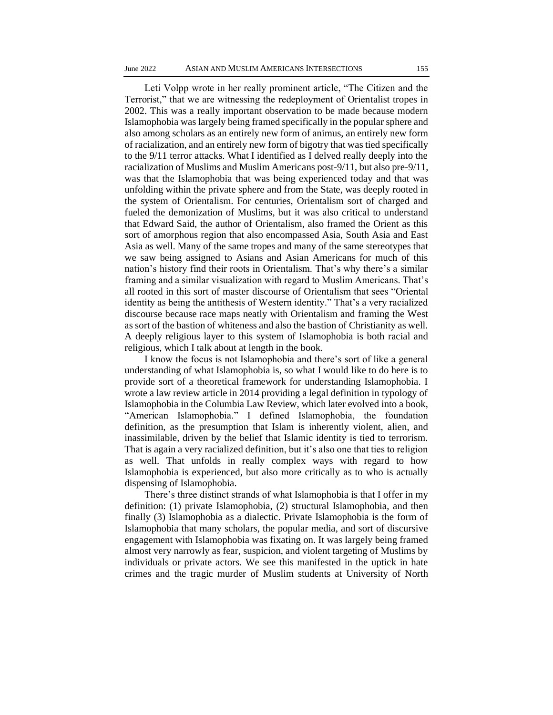Leti Volpp wrote in her really prominent article, "The Citizen and the Terrorist," that we are witnessing the redeployment of Orientalist tropes in 2002. This was a really important observation to be made because modern Islamophobia was largely being framed specifically in the popular sphere and also among scholars as an entirely new form of animus, an entirely new form of racialization, and an entirely new form of bigotry that was tied specifically to the 9/11 terror attacks. What I identified as I delved really deeply into the racialization of Muslims and Muslim Americans post-9/11, but also pre-9/11, was that the Islamophobia that was being experienced today and that was unfolding within the private sphere and from the State, was deeply rooted in the system of Orientalism. For centuries, Orientalism sort of charged and fueled the demonization of Muslims, but it was also critical to understand that Edward Said, the author of Orientalism, also framed the Orient as this sort of amorphous region that also encompassed Asia, South Asia and East Asia as well. Many of the same tropes and many of the same stereotypes that we saw being assigned to Asians and Asian Americans for much of this nation's history find their roots in Orientalism. That's why there's a similar framing and a similar visualization with regard to Muslim Americans. That's all rooted in this sort of master discourse of Orientalism that sees "Oriental identity as being the antithesis of Western identity." That's a very racialized discourse because race maps neatly with Orientalism and framing the West as sort of the bastion of whiteness and also the bastion of Christianity as well. A deeply religious layer to this system of Islamophobia is both racial and religious, which I talk about at length in the book.

I know the focus is not Islamophobia and there's sort of like a general understanding of what Islamophobia is, so what I would like to do here is to provide sort of a theoretical framework for understanding Islamophobia. I wrote a law review article in 2014 providing a legal definition in typology of Islamophobia in the Columbia Law Review, which later evolved into a book, "American Islamophobia." I defined Islamophobia, the foundation definition, as the presumption that Islam is inherently violent, alien, and inassimilable, driven by the belief that Islamic identity is tied to terrorism. That is again a very racialized definition, but it's also one that ties to religion as well. That unfolds in really complex ways with regard to how Islamophobia is experienced, but also more critically as to who is actually dispensing of Islamophobia.

There's three distinct strands of what Islamophobia is that I offer in my definition: (1) private Islamophobia, (2) structural Islamophobia, and then finally (3) Islamophobia as a dialectic. Private Islamophobia is the form of Islamophobia that many scholars, the popular media, and sort of discursive engagement with Islamophobia was fixating on. It was largely being framed almost very narrowly as fear, suspicion, and violent targeting of Muslims by individuals or private actors. We see this manifested in the uptick in hate crimes and the tragic murder of Muslim students at University of North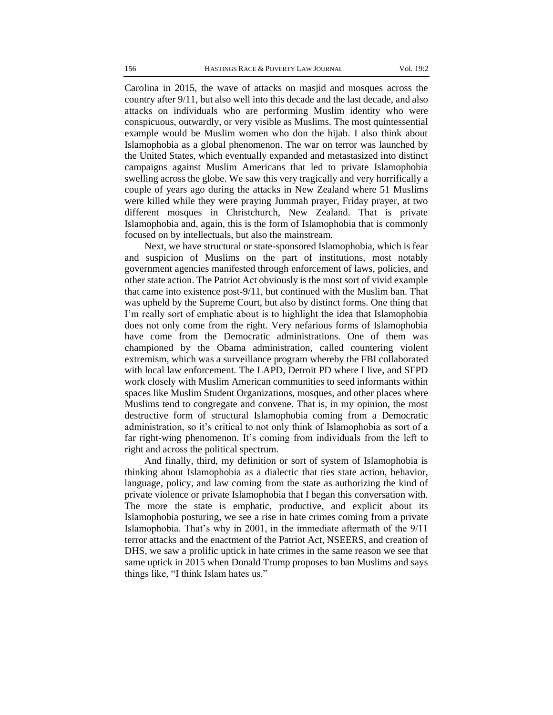Carolina in 2015, the wave of attacks on masjid and mosques across the country after 9/11, but also well into this decade and the last decade, and also attacks on individuals who are performing Muslim identity who were conspicuous, outwardly, or very visible as Muslims. The most quintessential example would be Muslim women who don the hijab. I also think about Islamophobia as a global phenomenon. The war on terror was launched by the United States, which eventually expanded and metastasized into distinct campaigns against Muslim Americans that led to private Islamophobia swelling across the globe. We saw this very tragically and very horrifically a couple of years ago during the attacks in New Zealand where 51 Muslims were killed while they were praying Jummah prayer, Friday prayer, at two different mosques in Christchurch, New Zealand. That is private Islamophobia and, again, this is the form of Islamophobia that is commonly focused on by intellectuals, but also the mainstream.

Next, we have structural or state-sponsored Islamophobia, which is fear and suspicion of Muslims on the part of institutions, most notably government agencies manifested through enforcement of laws, policies, and other state action. The Patriot Act obviously is the most sort of vivid example that came into existence post-9/11, but continued with the Muslim ban. That was upheld by the Supreme Court, but also by distinct forms. One thing that I'm really sort of emphatic about is to highlight the idea that Islamophobia does not only come from the right. Very nefarious forms of Islamophobia have come from the Democratic administrations. One of them was championed by the Obama administration, called countering violent extremism, which was a surveillance program whereby the FBI collaborated with local law enforcement. The LAPD, Detroit PD where I live, and SFPD work closely with Muslim American communities to seed informants within spaces like Muslim Student Organizations, mosques, and other places where Muslims tend to congregate and convene. That is, in my opinion, the most destructive form of structural Islamophobia coming from a Democratic administration, so it's critical to not only think of Islamophobia as sort of a far right-wing phenomenon. It's coming from individuals from the left to right and across the political spectrum.

And finally, third, my definition or sort of system of Islamophobia is thinking about Islamophobia as a dialectic that ties state action, behavior, language, policy, and law coming from the state as authorizing the kind of private violence or private Islamophobia that I began this conversation with. The more the state is emphatic, productive, and explicit about its Islamophobia posturing, we see a rise in hate crimes coming from a private Islamophobia. That's why in 2001, in the immediate aftermath of the 9/11 terror attacks and the enactment of the Patriot Act, NSEERS, and creation of DHS, we saw a prolific uptick in hate crimes in the same reason we see that same uptick in 2015 when Donald Trump proposes to ban Muslims and says things like, "I think Islam hates us."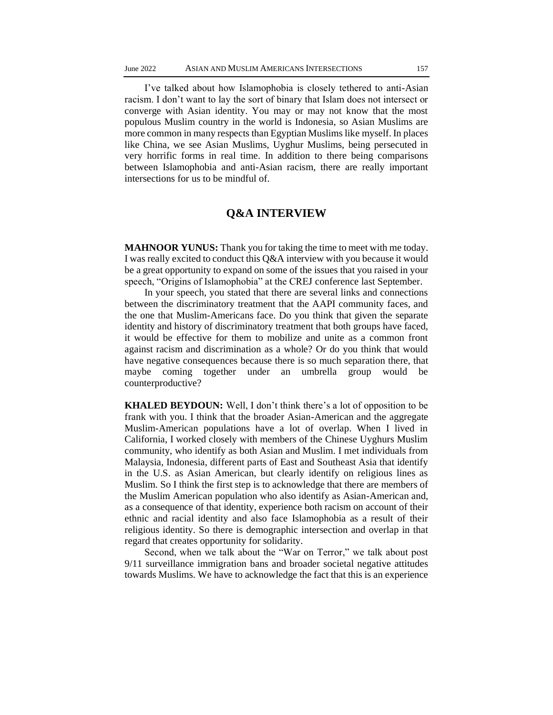I've talked about how Islamophobia is closely tethered to anti-Asian racism. I don't want to lay the sort of binary that Islam does not intersect or converge with Asian identity. You may or may not know that the most populous Muslim country in the world is Indonesia, so Asian Muslims are more common in many respects than Egyptian Muslims like myself. In places like China, we see Asian Muslims, Uyghur Muslims, being persecuted in very horrific forms in real time. In addition to there being comparisons between Islamophobia and anti-Asian racism, there are really important intersections for us to be mindful of.

### **Q&A INTERVIEW**

**MAHNOOR YUNUS:** Thank you for taking the time to meet with me today. I was really excited to conduct this Q&A interview with you because it would be a great opportunity to expand on some of the issues that you raised in your speech, "Origins of Islamophobia" at the CREJ conference last September.

In your speech, you stated that there are several links and connections between the discriminatory treatment that the AAPI community faces, and the one that Muslim-Americans face. Do you think that given the separate identity and history of discriminatory treatment that both groups have faced, it would be effective for them to mobilize and unite as a common front against racism and discrimination as a whole? Or do you think that would have negative consequences because there is so much separation there, that maybe coming together under an umbrella group would be counterproductive?

**KHALED BEYDOUN:** Well, I don't think there's a lot of opposition to be frank with you. I think that the broader Asian-American and the aggregate Muslim-American populations have a lot of overlap. When I lived in California, I worked closely with members of the Chinese Uyghurs Muslim community, who identify as both Asian and Muslim. I met individuals from Malaysia, Indonesia, different parts of East and Southeast Asia that identify in the U.S. as Asian American, but clearly identify on religious lines as Muslim. So I think the first step is to acknowledge that there are members of the Muslim American population who also identify as Asian-American and, as a consequence of that identity, experience both racism on account of their ethnic and racial identity and also face Islamophobia as a result of their religious identity. So there is demographic intersection and overlap in that regard that creates opportunity for solidarity.

Second, when we talk about the "War on Terror," we talk about post 9/11 surveillance immigration bans and broader societal negative attitudes towards Muslims. We have to acknowledge the fact that this is an experience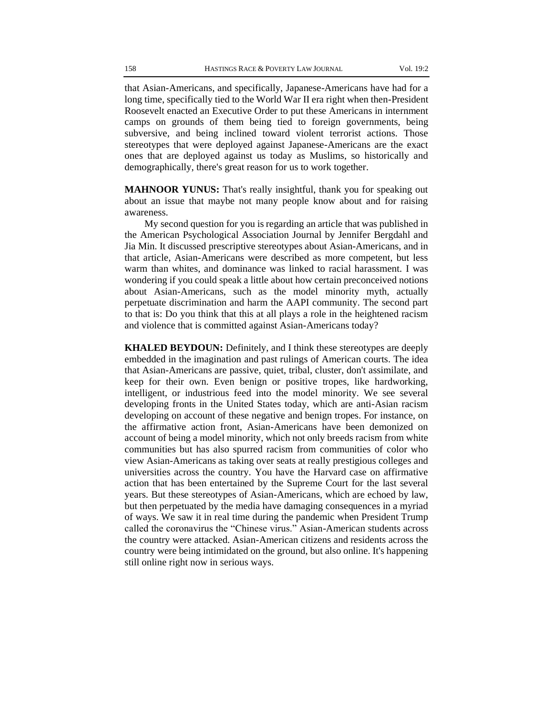that Asian-Americans, and specifically, Japanese-Americans have had for a long time, specifically tied to the World War II era right when then-President Roosevelt enacted an Executive Order to put these Americans in internment camps on grounds of them being tied to foreign governments, being subversive, and being inclined toward violent terrorist actions. Those stereotypes that were deployed against Japanese-Americans are the exact ones that are deployed against us today as Muslims, so historically and demographically, there's great reason for us to work together.

**MAHNOOR YUNUS:** That's really insightful, thank you for speaking out about an issue that maybe not many people know about and for raising awareness.

My second question for you is regarding an article that was published in the American Psychological Association Journal by Jennifer Bergdahl and Jia Min. It discussed prescriptive stereotypes about Asian-Americans, and in that article, Asian-Americans were described as more competent, but less warm than whites, and dominance was linked to racial harassment. I was wondering if you could speak a little about how certain preconceived notions about Asian-Americans, such as the model minority myth, actually perpetuate discrimination and harm the AAPI community. The second part to that is: Do you think that this at all plays a role in the heightened racism and violence that is committed against Asian-Americans today?

**KHALED BEYDOUN:** Definitely, and I think these stereotypes are deeply embedded in the imagination and past rulings of American courts. The idea that Asian-Americans are passive, quiet, tribal, cluster, don't assimilate, and keep for their own. Even benign or positive tropes, like hardworking, intelligent, or industrious feed into the model minority. We see several developing fronts in the United States today, which are anti-Asian racism developing on account of these negative and benign tropes. For instance, on the affirmative action front, Asian-Americans have been demonized on account of being a model minority, which not only breeds racism from white communities but has also spurred racism from communities of color who view Asian-Americans as taking over seats at really prestigious colleges and universities across the country. You have the Harvard case on affirmative action that has been entertained by the Supreme Court for the last several years. But these stereotypes of Asian-Americans, which are echoed by law, but then perpetuated by the media have damaging consequences in a myriad of ways. We saw it in real time during the pandemic when President Trump called the coronavirus the "Chinese virus." Asian-American students across the country were attacked. Asian-American citizens and residents across the country were being intimidated on the ground, but also online. It's happening still online right now in serious ways.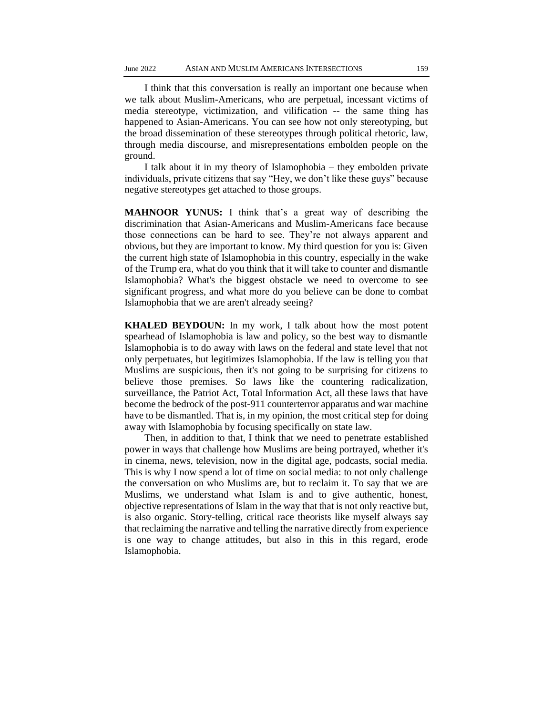I think that this conversation is really an important one because when we talk about Muslim-Americans, who are perpetual, incessant victims of media stereotype, victimization, and vilification -- the same thing has happened to Asian-Americans. You can see how not only stereotyping, but the broad dissemination of these stereotypes through political rhetoric, law, through media discourse, and misrepresentations embolden people on the ground.

I talk about it in my theory of Islamophobia – they embolden private individuals, private citizens that say "Hey, we don't like these guys" because negative stereotypes get attached to those groups.

**MAHNOOR YUNUS:** I think that's a great way of describing the discrimination that Asian-Americans and Muslim-Americans face because those connections can be hard to see. They're not always apparent and obvious, but they are important to know. My third question for you is: Given the current high state of Islamophobia in this country, especially in the wake of the Trump era, what do you think that it will take to counter and dismantle Islamophobia? What's the biggest obstacle we need to overcome to see significant progress, and what more do you believe can be done to combat Islamophobia that we are aren't already seeing?

**KHALED BEYDOUN:** In my work, I talk about how the most potent spearhead of Islamophobia is law and policy, so the best way to dismantle Islamophobia is to do away with laws on the federal and state level that not only perpetuates, but legitimizes Islamophobia. If the law is telling you that Muslims are suspicious, then it's not going to be surprising for citizens to believe those premises. So laws like the countering radicalization, surveillance, the Patriot Act, Total Information Act, all these laws that have become the bedrock of the post-911 counterterror apparatus and war machine have to be dismantled. That is, in my opinion, the most critical step for doing away with Islamophobia by focusing specifically on state law.

Then, in addition to that, I think that we need to penetrate established power in ways that challenge how Muslims are being portrayed, whether it's in cinema, news, television, now in the digital age, podcasts, social media. This is why I now spend a lot of time on social media: to not only challenge the conversation on who Muslims are, but to reclaim it. To say that we are Muslims, we understand what Islam is and to give authentic, honest, objective representations of Islam in the way that that is not only reactive but, is also organic. Story-telling, critical race theorists like myself always say that reclaiming the narrative and telling the narrative directly from experience is one way to change attitudes, but also in this in this regard, erode Islamophobia.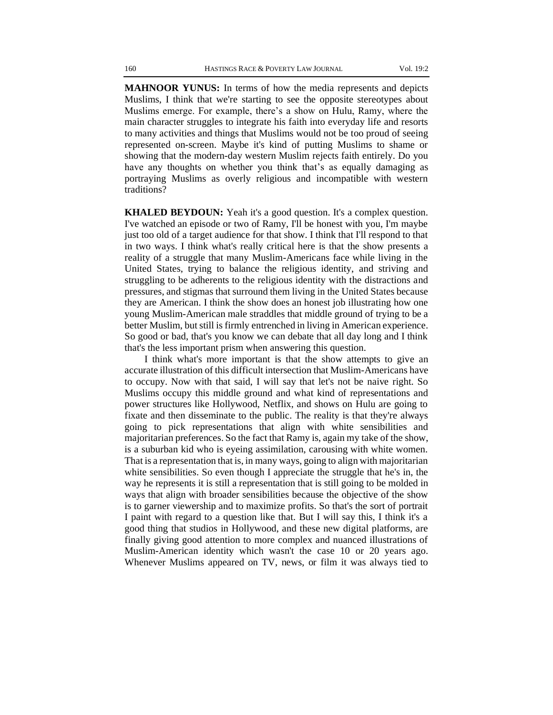**MAHNOOR YUNUS:** In terms of how the media represents and depicts Muslims, I think that we're starting to see the opposite stereotypes about Muslims emerge. For example, there's a show on Hulu, Ramy, where the main character struggles to integrate his faith into everyday life and resorts to many activities and things that Muslims would not be too proud of seeing represented on-screen. Maybe it's kind of putting Muslims to shame or showing that the modern-day western Muslim rejects faith entirely. Do you have any thoughts on whether you think that's as equally damaging as portraying Muslims as overly religious and incompatible with western traditions?

**KHALED BEYDOUN:** Yeah it's a good question. It's a complex question. I've watched an episode or two of Ramy, I'll be honest with you, I'm maybe just too old of a target audience for that show. I think that I'll respond to that in two ways. I think what's really critical here is that the show presents a reality of a struggle that many Muslim-Americans face while living in the United States, trying to balance the religious identity, and striving and struggling to be adherents to the religious identity with the distractions and pressures, and stigmas that surround them living in the United States because they are American. I think the show does an honest job illustrating how one young Muslim-American male straddles that middle ground of trying to be a better Muslim, but still is firmly entrenched in living in American experience. So good or bad, that's you know we can debate that all day long and I think that's the less important prism when answering this question.

I think what's more important is that the show attempts to give an accurate illustration of this difficult intersection that Muslim-Americans have to occupy. Now with that said, I will say that let's not be naive right. So Muslims occupy this middle ground and what kind of representations and power structures like Hollywood, Netflix, and shows on Hulu are going to fixate and then disseminate to the public. The reality is that they're always going to pick representations that align with white sensibilities and majoritarian preferences. So the fact that Ramy is, again my take of the show, is a suburban kid who is eyeing assimilation, carousing with white women. That is a representation that is, in many ways, going to align with majoritarian white sensibilities. So even though I appreciate the struggle that he's in, the way he represents it is still a representation that is still going to be molded in ways that align with broader sensibilities because the objective of the show is to garner viewership and to maximize profits. So that's the sort of portrait I paint with regard to a question like that. But I will say this, I think it's a good thing that studios in Hollywood, and these new digital platforms, are finally giving good attention to more complex and nuanced illustrations of Muslim-American identity which wasn't the case 10 or 20 years ago. Whenever Muslims appeared on TV, news, or film it was always tied to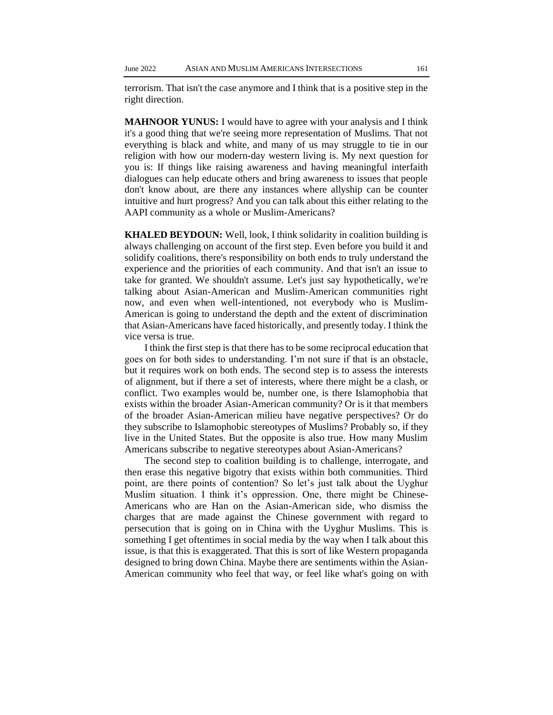terrorism. That isn't the case anymore and I think that is a positive step in the right direction.

**MAHNOOR YUNUS:** I would have to agree with your analysis and I think it's a good thing that we're seeing more representation of Muslims. That not everything is black and white, and many of us may struggle to tie in our religion with how our modern-day western living is. My next question for you is: If things like raising awareness and having meaningful interfaith dialogues can help educate others and bring awareness to issues that people don't know about, are there any instances where allyship can be counter intuitive and hurt progress? And you can talk about this either relating to the AAPI community as a whole or Muslim-Americans?

**KHALED BEYDOUN:** Well, look, I think solidarity in coalition building is always challenging on account of the first step. Even before you build it and solidify coalitions, there's responsibility on both ends to truly understand the experience and the priorities of each community. And that isn't an issue to take for granted. We shouldn't assume. Let's just say hypothetically, we're talking about Asian-American and Muslim-American communities right now, and even when well-intentioned, not everybody who is Muslim-American is going to understand the depth and the extent of discrimination that Asian-Americans have faced historically, and presently today. I think the vice versa is true.

I think the first step is that there has to be some reciprocal education that goes on for both sides to understanding. I'm not sure if that is an obstacle, but it requires work on both ends. The second step is to assess the interests of alignment, but if there a set of interests, where there might be a clash, or conflict. Two examples would be, number one, is there Islamophobia that exists within the broader Asian-American community? Or is it that members of the broader Asian-American milieu have negative perspectives? Or do they subscribe to Islamophobic stereotypes of Muslims? Probably so, if they live in the United States. But the opposite is also true. How many Muslim Americans subscribe to negative stereotypes about Asian-Americans?

The second step to coalition building is to challenge, interrogate, and then erase this negative bigotry that exists within both communities. Third point, are there points of contention? So let's just talk about the Uyghur Muslim situation. I think it's oppression. One, there might be Chinese-Americans who are Han on the Asian-American side, who dismiss the charges that are made against the Chinese government with regard to persecution that is going on in China with the Uyghur Muslims. This is something I get oftentimes in social media by the way when I talk about this issue, is that this is exaggerated. That this is sort of like Western propaganda designed to bring down China. Maybe there are sentiments within the Asian-American community who feel that way, or feel like what's going on with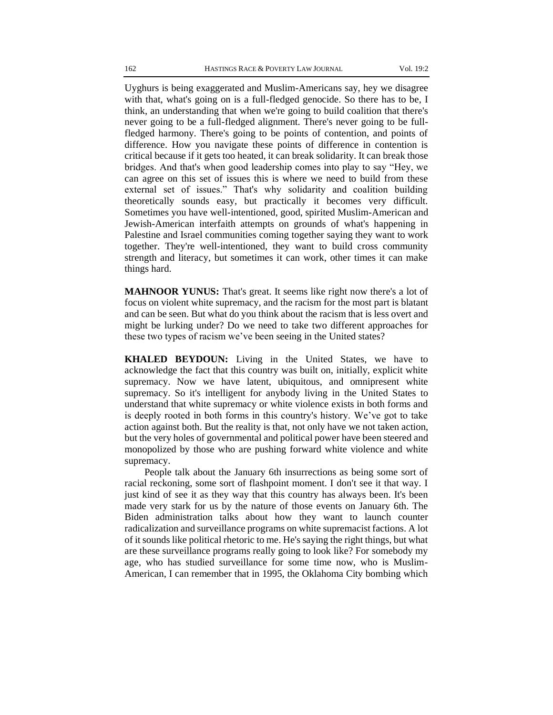Uyghurs is being exaggerated and Muslim-Americans say, hey we disagree with that, what's going on is a full-fledged genocide. So there has to be, I think, an understanding that when we're going to build coalition that there's never going to be a full-fledged alignment. There's never going to be fullfledged harmony. There's going to be points of contention, and points of difference. How you navigate these points of difference in contention is critical because if it gets too heated, it can break solidarity. It can break those bridges. And that's when good leadership comes into play to say "Hey, we can agree on this set of issues this is where we need to build from these external set of issues." That's why solidarity and coalition building theoretically sounds easy, but practically it becomes very difficult. Sometimes you have well-intentioned, good, spirited Muslim-American and Jewish-American interfaith attempts on grounds of what's happening in Palestine and Israel communities coming together saying they want to work together. They're well-intentioned, they want to build cross community strength and literacy, but sometimes it can work, other times it can make things hard.

**MAHNOOR YUNUS:** That's great. It seems like right now there's a lot of focus on violent white supremacy, and the racism for the most part is blatant and can be seen. But what do you think about the racism that is less overt and might be lurking under? Do we need to take two different approaches for these two types of racism we've been seeing in the United states?

**KHALED BEYDOUN:** Living in the United States, we have to acknowledge the fact that this country was built on, initially, explicit white supremacy. Now we have latent, ubiquitous, and omnipresent white supremacy. So it's intelligent for anybody living in the United States to understand that white supremacy or white violence exists in both forms and is deeply rooted in both forms in this country's history. We've got to take action against both. But the reality is that, not only have we not taken action, but the very holes of governmental and political power have been steered and monopolized by those who are pushing forward white violence and white supremacy.

People talk about the January 6th insurrections as being some sort of racial reckoning, some sort of flashpoint moment. I don't see it that way. I just kind of see it as they way that this country has always been. It's been made very stark for us by the nature of those events on January 6th. The Biden administration talks about how they want to launch counter radicalization and surveillance programs on white supremacist factions. A lot of it sounds like political rhetoric to me. He's saying the right things, but what are these surveillance programs really going to look like? For somebody my age, who has studied surveillance for some time now, who is Muslim-American, I can remember that in 1995, the Oklahoma City bombing which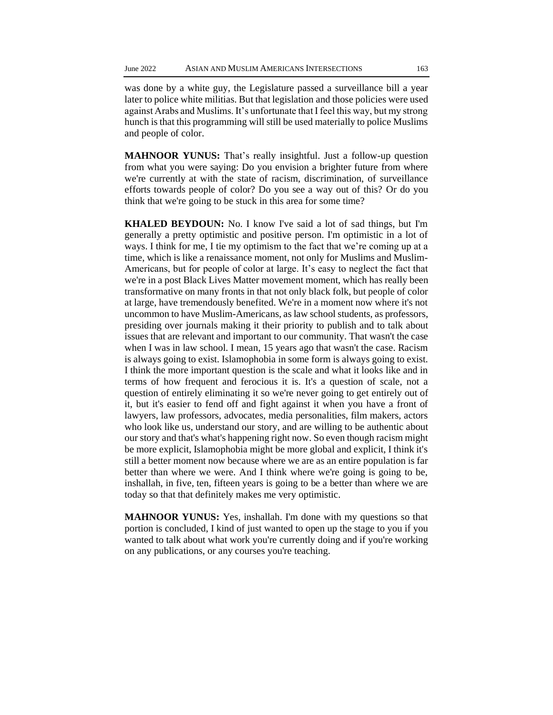was done by a white guy, the Legislature passed a surveillance bill a year later to police white militias. But that legislation and those policies were used against Arabs and Muslims. It's unfortunate that I feel this way, but my strong hunch is that this programming will still be used materially to police Muslims and people of color.

**MAHNOOR YUNUS:** That's really insightful. Just a follow-up question from what you were saying: Do you envision a brighter future from where we're currently at with the state of racism, discrimination, of surveillance efforts towards people of color? Do you see a way out of this? Or do you think that we're going to be stuck in this area for some time?

**KHALED BEYDOUN:** No. I know I've said a lot of sad things, but I'm generally a pretty optimistic and positive person. I'm optimistic in a lot of ways. I think for me, I tie my optimism to the fact that we're coming up at a time, which is like a renaissance moment, not only for Muslims and Muslim-Americans, but for people of color at large. It's easy to neglect the fact that we're in a post Black Lives Matter movement moment, which has really been transformative on many fronts in that not only black folk, but people of color at large, have tremendously benefited. We're in a moment now where it's not uncommon to have Muslim-Americans, as law school students, as professors, presiding over journals making it their priority to publish and to talk about issues that are relevant and important to our community. That wasn't the case when I was in law school. I mean, 15 years ago that wasn't the case. Racism is always going to exist. Islamophobia in some form is always going to exist. I think the more important question is the scale and what it looks like and in terms of how frequent and ferocious it is. It's a question of scale, not a question of entirely eliminating it so we're never going to get entirely out of it, but it's easier to fend off and fight against it when you have a front of lawyers, law professors, advocates, media personalities, film makers, actors who look like us, understand our story, and are willing to be authentic about our story and that's what's happening right now. So even though racism might be more explicit, Islamophobia might be more global and explicit, I think it's still a better moment now because where we are as an entire population is far better than where we were. And I think where we're going is going to be, inshallah, in five, ten, fifteen years is going to be a better than where we are today so that that definitely makes me very optimistic.

**MAHNOOR YUNUS:** Yes, inshallah. I'm done with my questions so that portion is concluded, I kind of just wanted to open up the stage to you if you wanted to talk about what work you're currently doing and if you're working on any publications, or any courses you're teaching.